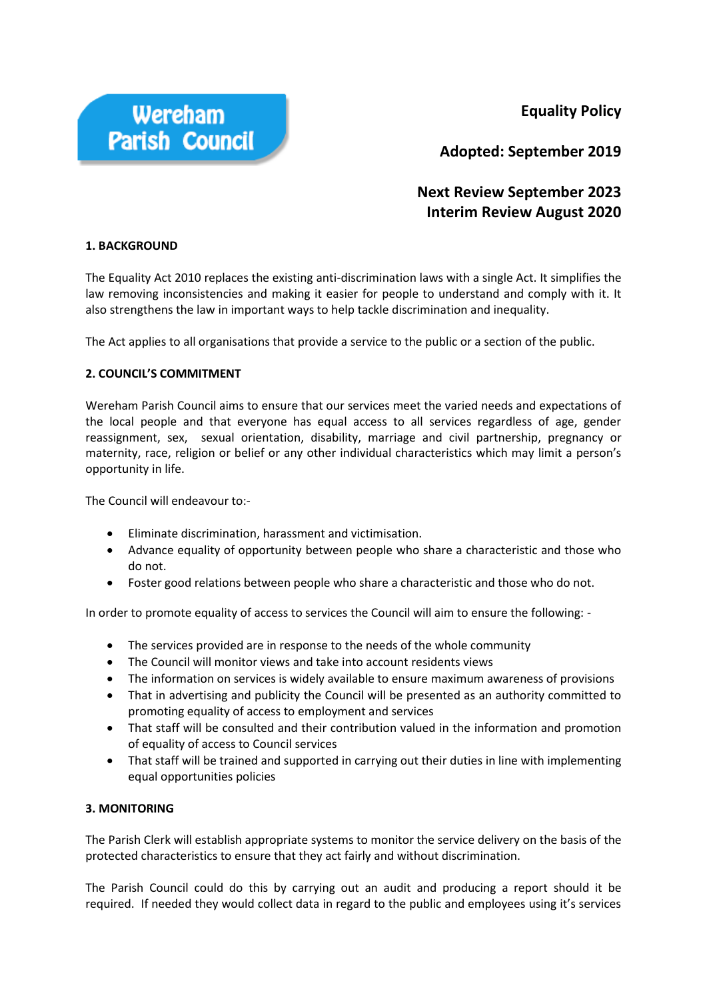**Equality Policy**



**Adopted: September 2019** 

# **Next Review September 2023 Interim Review August 2020**

### **1. BACKGROUND**

The Equality Act 2010 replaces the existing anti-discrimination laws with a single Act. It simplifies the law removing inconsistencies and making it easier for people to understand and comply with it. It also strengthens the law in important ways to help tackle discrimination and inequality.

The Act applies to all organisations that provide a service to the public or a section of the public.

### **2. COUNCIL'S COMMITMENT**

Wereham Parish Council aims to ensure that our services meet the varied needs and expectations of the local people and that everyone has equal access to all services regardless of age, gender reassignment, sex, sexual orientation, disability, marriage and civil partnership, pregnancy or maternity, race, religion or belief or any other individual characteristics which may limit a person's opportunity in life.

The Council will endeavour to:-

- Eliminate discrimination, harassment and victimisation.
- Advance equality of opportunity between people who share a characteristic and those who do not.
- Foster good relations between people who share a characteristic and those who do not.

In order to promote equality of access to services the Council will aim to ensure the following: -

- The services provided are in response to the needs of the whole community
- The Council will monitor views and take into account residents views
- The information on services is widely available to ensure maximum awareness of provisions
- That in advertising and publicity the Council will be presented as an authority committed to promoting equality of access to employment and services
- That staff will be consulted and their contribution valued in the information and promotion of equality of access to Council services
- That staff will be trained and supported in carrying out their duties in line with implementing equal opportunities policies

#### **3. MONITORING**

The Parish Clerk will establish appropriate systems to monitor the service delivery on the basis of the protected characteristics to ensure that they act fairly and without discrimination.

The Parish Council could do this by carrying out an audit and producing a report should it be required. If needed they would collect data in regard to the public and employees using it's services